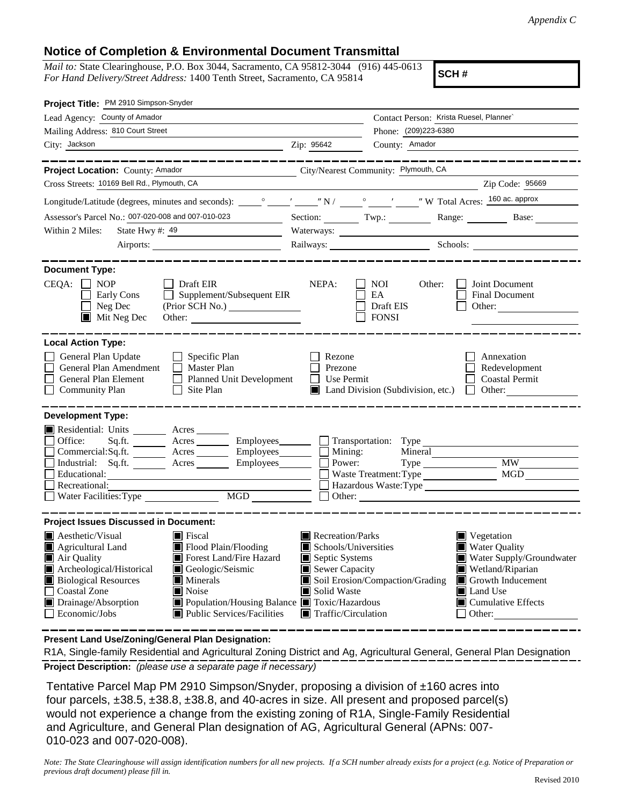## **Notice of Completion & Environmental Document Transmittal**

*Mail to:* State Clearinghouse, P.O. Box 3044, Sacramento, CA 95812-3044 (916) 445-0613 *For Hand Delivery/Street Address:* 1400 Tenth Street, Sacramento, CA 95814

**SCH #**

| Project Title: PM 2910 Simpson-Snyder                                                                                                                                                                                                                                                                                                                                                                                                                                                                                           |                                                                                                                                                  |                                                                    |                                                                                                                                                                                          |  |
|---------------------------------------------------------------------------------------------------------------------------------------------------------------------------------------------------------------------------------------------------------------------------------------------------------------------------------------------------------------------------------------------------------------------------------------------------------------------------------------------------------------------------------|--------------------------------------------------------------------------------------------------------------------------------------------------|--------------------------------------------------------------------|------------------------------------------------------------------------------------------------------------------------------------------------------------------------------------------|--|
| Lead Agency: County of Amador                                                                                                                                                                                                                                                                                                                                                                                                                                                                                                   |                                                                                                                                                  | Contact Person: Krista Ruesel, Planner`                            |                                                                                                                                                                                          |  |
| Mailing Address: 810 Court Street                                                                                                                                                                                                                                                                                                                                                                                                                                                                                               |                                                                                                                                                  | Phone: (209)223-6380                                               |                                                                                                                                                                                          |  |
| City: Jackson<br>$\overline{2ip}$ : 95642                                                                                                                                                                                                                                                                                                                                                                                                                                                                                       |                                                                                                                                                  | County: Amador                                                     |                                                                                                                                                                                          |  |
| Project Location: County: Amador<br>City/Nearest Community: Plymouth, CA                                                                                                                                                                                                                                                                                                                                                                                                                                                        |                                                                                                                                                  |                                                                    |                                                                                                                                                                                          |  |
| Cross Streets: 10169 Bell Rd., Plymouth, CA                                                                                                                                                                                                                                                                                                                                                                                                                                                                                     |                                                                                                                                                  |                                                                    | Zip Code: 95669                                                                                                                                                                          |  |
|                                                                                                                                                                                                                                                                                                                                                                                                                                                                                                                                 |                                                                                                                                                  |                                                                    |                                                                                                                                                                                          |  |
| Assessor's Parcel No.: 007-020-008 and 007-010-023                                                                                                                                                                                                                                                                                                                                                                                                                                                                              |                                                                                                                                                  |                                                                    | Section: Twp.: Range: Base:                                                                                                                                                              |  |
| Within 2 Miles:                                                                                                                                                                                                                                                                                                                                                                                                                                                                                                                 |                                                                                                                                                  |                                                                    |                                                                                                                                                                                          |  |
| Airports:                                                                                                                                                                                                                                                                                                                                                                                                                                                                                                                       |                                                                                                                                                  |                                                                    |                                                                                                                                                                                          |  |
| <b>Document Type:</b><br>$CEQA: \Box NP$<br>$\Box$ Draft EIR<br>$\Box$ Supplement/Subsequent EIR<br>Early Cons<br>$\Box$ Neg Dec<br>$\blacksquare$ Mit Neg Dec<br>Other:                                                                                                                                                                                                                                                                                                                                                        | NEPA:                                                                                                                                            | $\Box$ NOI<br>Other:<br>EA<br>Draft EIS<br>$\Box$ FONSI            | Joint Document<br><b>Final Document</b><br>Other:                                                                                                                                        |  |
| <b>Local Action Type:</b><br>General Plan Update<br>$\Box$ Specific Plan<br>General Plan Amendment<br>$\Box$ Master Plan<br>General Plan Element<br>Planned Unit Development<br>$\Box$<br><b>Community Plan</b><br>$\Box$ Site Plan                                                                                                                                                                                                                                                                                             | Rezone<br>Prezone<br>$\Box$ Use Permit                                                                                                           | $\Box$ Land Division (Subdivision, etc.) $\Box$ Other:             | Annexation<br>Redevelopment<br>  Coastal Permit                                                                                                                                          |  |
| <b>Development Type:</b><br>Residential: Units ________ Acres _____<br>Office:<br>Sq.ft. ________ Acres _________ Employees _______ _ Transportation: Type<br>Commercial:Sq.ft. _________ Acres _________ Employees ________ __ Mining:<br>Acres Employees<br>Industrial: Sq.ft.<br>Educational:<br>Recreational:<br>Water Facilities: Type<br>MGD                                                                                                                                                                              | Power:                                                                                                                                           | Mineral<br>Waste Treatment: Type<br>Hazardous Waste:Type<br>Other: | <b>MW</b><br>MGD                                                                                                                                                                         |  |
| <b>Project Issues Discussed in Document:</b><br>$\blacksquare$ Aesthetic/Visual<br>$\blacksquare$ Fiscal<br>Flood Plain/Flooding<br>Agricultural Land<br>Forest Land/Fire Hazard<br>$\blacksquare$ Air Quality<br>Archeological/Historical<br>Geologic/Seismic<br><b>Biological Resources</b><br>$\blacksquare$ Minerals<br><b>Coastal Zone</b><br>$\Box$<br>$\blacksquare$ Noise<br>Drainage/Absorption<br>■ Population/Housing Balance ■ Toxic/Hazardous<br>$\Box$ Economic/Jobs<br>$\blacksquare$ Public Services/Facilities | Recreation/Parks<br>$\blacksquare$ Schools/Universities<br>Septic Systems<br>Sewer Capacity<br>Solid Waste<br>$\blacksquare$ Traffic/Circulation | Soil Erosion/Compaction/Grading                                    | $\blacksquare$ Vegetation<br><b>Water Quality</b><br>Water Supply/Groundwater<br>Wetland/Riparian<br>Growth Inducement<br>Land Use<br>$\blacksquare$ Cumulative Effects<br>$\Box$ Other: |  |

**Present Land Use/Zoning/General Plan Designation:**

**Project Description:** *(please use a separate page if necessary)* R1A, Single-family Residential and Agricultural Zoning District and Ag, Agricultural General, General Plan Designation

 Tentative Parcel Map PM 2910 Simpson/Snyder, proposing a division of ±160 acres into four parcels,  $\pm 38.5$ ,  $\pm 38.8$ ,  $\pm 38.8$ , and 40-acres in size. All present and proposed parcel(s) would not experience a change from the existing zoning of R1A, Single-Family Residential and Agriculture, and General Plan designation of AG, Agricultural General (APNs: 007- 010-023 and 007-020-008).

*Note: The State Clearinghouse will assign identification numbers for all new projects. If a SCH number already exists for a project (e.g. Notice of Preparation or previous draft document) please fill in.*